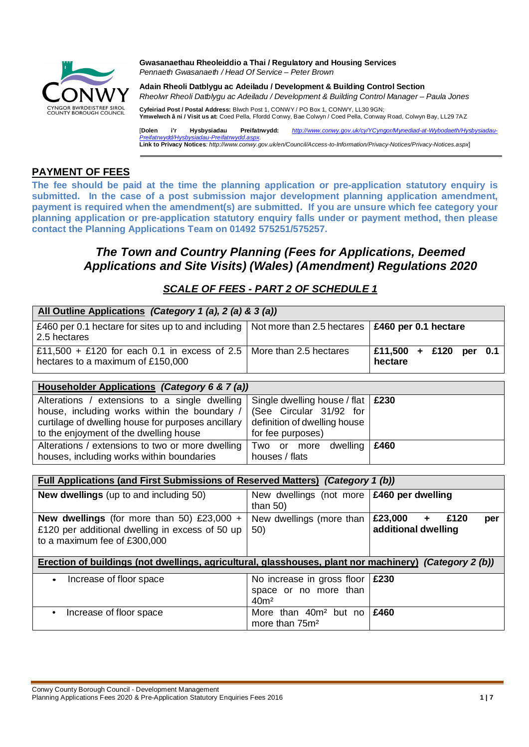

**Gwasanaethau Rheoleiddio a Thai / Regulatory and Housing Services** *Pennaeth Gwasanaeth / Head Of Service – Peter Brown*

**Adain Rheoli Datblygu ac Adeiladu / Development & Building Control Section** *Rheolwr Rheoli Datblygu ac Adeiladu / Development & Building Control Manager – Paula Jones*

**Cyfeiriad Post / Postal Address:** Blwch Post 1, CONWY / PO Box 1, CONWY, LL30 9GN; **Ymwelwch â ni / Visit us at:** Coed Pella, Ffordd Conwy, Bae Colwyn / Coed Pella, Conway Road, Colwyn Bay, LL29 7AZ

[**Dolen i'r Hysbysiadau Preifatrwydd:** *http://www.conwy.gov.uk/cy/YCyngor/Mynediad-at-Wybodaeth/Hysbysiadau-Preifatrwydd/Hysbysiadau-Preifatrwydd.aspx.* **Link to Privacy Notices***: http://www.conwy.gov.uk/en/Council/Access-to-Information/Privacy-Notices/Privacy-Notices.aspx*]

#### **PAYMENT OF FEES**

**The fee should be paid at the time the planning application or pre-application statutory enquiry is submitted. In the case of a post submission major development planning application amendment, payment is required when the amendment(s) are submitted. If you are unsure which fee category your planning application or pre-application statutory enquiry falls under or payment method, then please contact the Planning Applications Team on 01492 575251/575257.**

## *The Town and Country Planning (Fees for Applications, Deemed Applications and Site Visits) (Wales) (Amendment) Regulations 2020*

### *SCALE OF FEES - PART 2 OF SCHEDULE 1*

| All Outline Applications (Category 1 (a), 2 (a) & 3 (a))                                                                                            |                                                                                                |                                        |
|-----------------------------------------------------------------------------------------------------------------------------------------------------|------------------------------------------------------------------------------------------------|----------------------------------------|
| £460 per 0.1 hectare for sites up to and including   Not more than 2.5 hectares  <br>2.5 hectares                                                   |                                                                                                | £460 per 0.1 hectare                   |
| £11,500 + £120 for each 0.1 in excess of 2.5   More than 2.5 hectares<br>hectares to a maximum of £150,000                                          |                                                                                                | £11,500<br>$+$ £120 per 0.1<br>hectare |
| Householder Applications (Category 6 & 7 (a))                                                                                                       |                                                                                                |                                        |
|                                                                                                                                                     |                                                                                                |                                        |
| Alterations / extensions to a single dwelling<br>house, including works within the boundary /<br>curtilage of dwelling house for purposes ancillary | Single dwelling house / flat   £230<br>(See Circular 31/92 for<br>definition of dwelling house |                                        |

| curtilage of dwelling house for purposes ancillary   definition of dwelling house |                   |  |
|-----------------------------------------------------------------------------------|-------------------|--|
| to the enjoyment of the dwelling house                                            | for fee purposes) |  |
| Alterations / extensions to two or more dwelling Two or more dwelling $\,$ £460   |                   |  |
| houses, including works within boundaries                                         | houses / flats    |  |

| Full Applications (and First Submissions of Reserved Matters) (Category 1 (b))                                                                                                                                                                   |                                                                                   |                                                   |
|--------------------------------------------------------------------------------------------------------------------------------------------------------------------------------------------------------------------------------------------------|-----------------------------------------------------------------------------------|---------------------------------------------------|
| <b>New dwellings</b> (up to and including 50)                                                                                                                                                                                                    | New dwellings (not more $\frac{1}{2}$ £460 per dwelling<br>than $50$ )            |                                                   |
| <b>New dwellings</b> (for more than 50) £23,000 $+$<br>£120 per additional dwelling in excess of 50 up<br>to a maximum fee of £300,000<br>Erection of buildings (not dwellings, agricultural, glasshouses, plant nor machinery) (Category 2 (b)) | New dwellings (more than<br>50)                                                   | £23,000<br>$+$ £120<br>per<br>additional dwelling |
| Increase of floor space<br>$\bullet$                                                                                                                                                                                                             | No increase in gross floor $\,$ £230<br>space or no more than<br>40 <sup>m²</sup> |                                                   |
| Increase of floor space<br>$\bullet$                                                                                                                                                                                                             | than 40m <sup>2</sup> but no<br>More<br>more than $75m2$                          | £460                                              |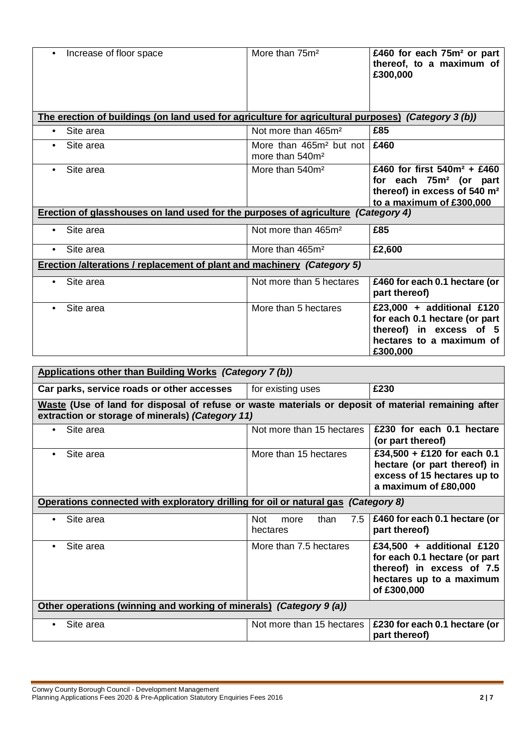| Increase of floor space<br>$\bullet$                                                                | More than $75m^2$                                                  | £460 for each 75m <sup>2</sup> or part<br>thereof, to a maximum of<br>£300,000                                                               |
|-----------------------------------------------------------------------------------------------------|--------------------------------------------------------------------|----------------------------------------------------------------------------------------------------------------------------------------------|
| The erection of buildings (on land used for agriculture for agricultural purposes) (Category 3 (b)) |                                                                    |                                                                                                                                              |
| Site area<br>$\bullet$                                                                              | Not more than 465m <sup>2</sup>                                    | £85                                                                                                                                          |
| Site area<br>$\bullet$                                                                              | More than 465m <sup>2</sup> but not<br>more than 540m <sup>2</sup> | £460                                                                                                                                         |
| Site area<br>$\bullet$                                                                              | More than $540m^2$                                                 | £460 for first $540m^2$ + £460<br>for each 75m <sup>2</sup> (or part<br>thereof) in excess of 540 m <sup>2</sup><br>to a maximum of £300,000 |
| Erection of glasshouses on land used for the purposes of agriculture (Category 4)                   |                                                                    |                                                                                                                                              |
| Site area<br>$\bullet$                                                                              | Not more than 465m <sup>2</sup>                                    | £85                                                                                                                                          |
| Site area<br>$\bullet$                                                                              | More than 465m <sup>2</sup>                                        | £2,600                                                                                                                                       |
| <b>Erection /alterations / replacement of plant and machinery (Category 5)</b>                      |                                                                    |                                                                                                                                              |
| Site area<br>$\bullet$                                                                              | Not more than 5 hectares                                           | £460 for each 0.1 hectare (or<br>part thereof)                                                                                               |
| Site area<br>$\bullet$                                                                              | More than 5 hectares                                               | £23,000 + additional £120<br>for each 0.1 hectare (or part<br>thereof) in excess of 5<br>hectares to a maximum of<br>£300,000                |

| Applications other than Building Works (Category 7 (b))                                                                                                 |                                               |                                                                                                                                    |
|---------------------------------------------------------------------------------------------------------------------------------------------------------|-----------------------------------------------|------------------------------------------------------------------------------------------------------------------------------------|
| Car parks, service roads or other accesses                                                                                                              | for existing uses                             | £230                                                                                                                               |
| Waste (Use of land for disposal of refuse or waste materials or deposit of material remaining after<br>extraction or storage of minerals) (Category 11) |                                               |                                                                                                                                    |
| Site area<br>$\bullet$                                                                                                                                  | Not more than 15 hectares                     | £230 for each 0.1 hectare<br>(or part thereof)                                                                                     |
| Site area<br>$\bullet$                                                                                                                                  | More than 15 hectares                         | £34,500 + £120 for each 0.1<br>hectare (or part thereof) in<br>excess of 15 hectares up to<br>a maximum of £80,000                 |
| Operations connected with exploratory drilling for oil or natural gas (Category 8)                                                                      |                                               |                                                                                                                                    |
| Site area<br>$\bullet$                                                                                                                                  | <b>Not</b><br>7.5<br>than<br>more<br>hectares | £460 for each 0.1 hectare (or<br>part thereof)                                                                                     |
| Site area<br>$\bullet$                                                                                                                                  | More than 7.5 hectares                        | £34,500 + additional £120<br>for each 0.1 hectare (or part<br>thereof) in excess of 7.5<br>hectares up to a maximum<br>of £300,000 |
| Other operations (winning and working of minerals) (Category 9 (a))                                                                                     |                                               |                                                                                                                                    |
| Site area<br>٠                                                                                                                                          | Not more than 15 hectares                     | £230 for each 0.1 hectare (or<br>part thereof)                                                                                     |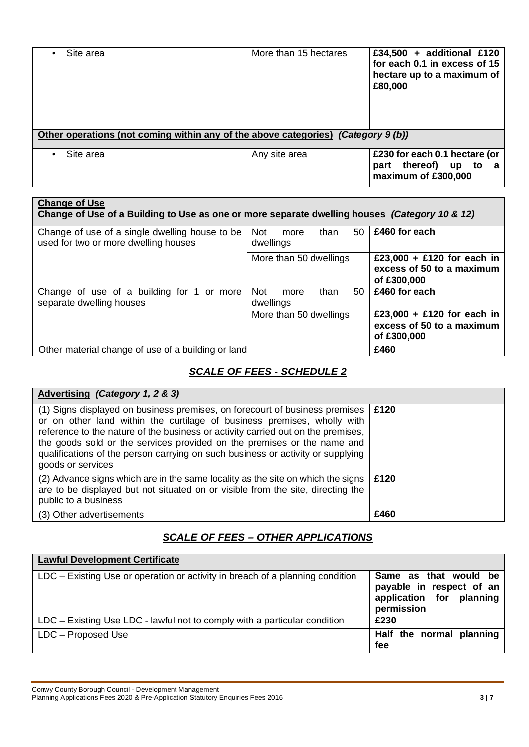| Site area<br>$\bullet$                                                            | More than 15 hectares | £34,500 + additional £120<br>for each 0.1 in excess of 15<br>hectare up to a maximum of<br>£80,000 |
|-----------------------------------------------------------------------------------|-----------------------|----------------------------------------------------------------------------------------------------|
| Other operations (not coming within any of the above categories) (Category 9 (b)) |                       |                                                                                                    |
| Site area<br>$\bullet$                                                            | Any site area         | £230 for each 0.1 hectare (or<br>thereof) up to<br>part<br>a<br>maximum of £300,000                |

| <b>Change of Use</b><br>Change of Use of a Building to Use as one or more separate dwelling houses (Category 10 & 12) |                                               |                                                                        |
|-----------------------------------------------------------------------------------------------------------------------|-----------------------------------------------|------------------------------------------------------------------------|
| Change of use of a single dwelling house to be<br>used for two or more dwelling houses                                | 50<br>than<br>Not<br>more<br>dwellings        | £460 for each                                                          |
|                                                                                                                       | More than 50 dwellings                        | £23,000 + £120 for each in<br>excess of 50 to a maximum<br>of £300,000 |
| Change of use of a building for 1 or more<br>separate dwelling houses                                                 | 50<br><b>Not</b><br>than<br>more<br>dwellings | £460 for each                                                          |
|                                                                                                                       | More than 50 dwellings                        | £23,000 + £120 for each in<br>excess of 50 to a maximum<br>of £300,000 |
| Other material change of use of a building or land                                                                    |                                               | £460                                                                   |

# *SCALE OF FEES - SCHEDULE 2*

| Advertising (Category 1, 2 & 3)                                                                                                                                                                                                                                                                                                                                                                                               |      |
|-------------------------------------------------------------------------------------------------------------------------------------------------------------------------------------------------------------------------------------------------------------------------------------------------------------------------------------------------------------------------------------------------------------------------------|------|
| (1) Signs displayed on business premises, on forecourt of business premises<br>or on other land within the curtilage of business premises, wholly with<br>reference to the nature of the business or activity carried out on the premises,<br>the goods sold or the services provided on the premises or the name and<br>qualifications of the person carrying on such business or activity or supplying<br>goods or services | £120 |
| (2) Advance signs which are in the same locality as the site on which the signs<br>are to be displayed but not situated on or visible from the site, directing the<br>public to a business                                                                                                                                                                                                                                    | £120 |
| (3) Other advertisements                                                                                                                                                                                                                                                                                                                                                                                                      | £460 |

## *SCALE OF FEES – OTHER APPLICATIONS*

| <b>Lawful Development Certificate</b>                                         |                                                                                             |
|-------------------------------------------------------------------------------|---------------------------------------------------------------------------------------------|
| LDC – Existing Use or operation or activity in breach of a planning condition | Same as that would be<br>payable in respect of an<br>application for planning<br>permission |
| LDC – Existing Use LDC - lawful not to comply with a particular condition     | £230                                                                                        |
| LDC – Proposed Use                                                            | Half the normal planning<br>fee                                                             |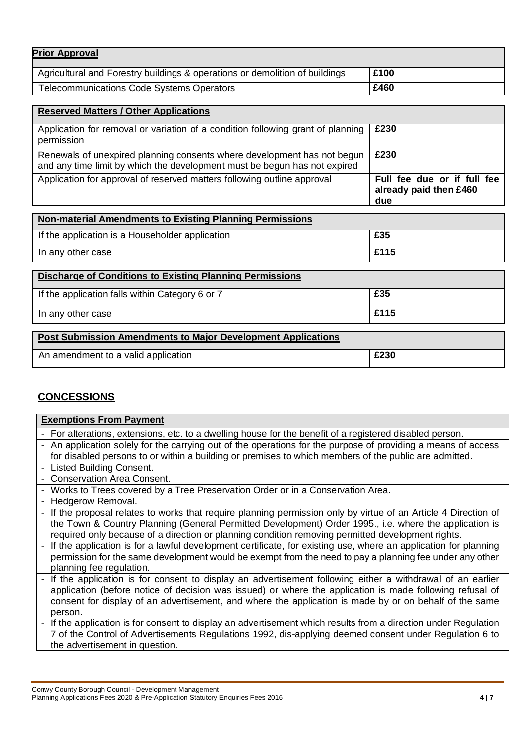| <b>Prior Approval</b>                                                       |      |
|-----------------------------------------------------------------------------|------|
| Agricultural and Forestry buildings & operations or demolition of buildings | £100 |
| <b>Telecommunications Code Systems Operators</b>                            | £460 |

| <b>Reserved Matters / Other Applications</b>                                                                                                         |                                                              |
|------------------------------------------------------------------------------------------------------------------------------------------------------|--------------------------------------------------------------|
| Application for removal or variation of a condition following grant of planning<br>permission                                                        | £230                                                         |
| Renewals of unexpired planning consents where development has not begun<br>and any time limit by which the development must be begun has not expired | £230                                                         |
| Application for approval of reserved matters following outline approval                                                                              | Full fee due or if full fee<br>already paid then £460<br>due |

| Non-material Amendments to Existing Planning Permissions |      |
|----------------------------------------------------------|------|
| If the application is a Householder application          | £35  |
| In any other case                                        | £115 |

| <b>Discharge of Conditions to Existing Planning Permissions</b> |      |  |
|-----------------------------------------------------------------|------|--|
| If the application falls within Category 6 or 7                 | £35  |  |
| In any other case                                               | £115 |  |

| <b>Post Submission Amendments to Major Development Applications</b> |      |
|---------------------------------------------------------------------|------|
| An amendment to a valid application                                 | £230 |

# **CONCESSIONS**

| <b>Exemptions From Payment</b>                                                                                    |  |
|-------------------------------------------------------------------------------------------------------------------|--|
| - For alterations, extensions, etc. to a dwelling house for the benefit of a registered disabled person.          |  |
| - An application solely for the carrying out of the operations for the purpose of providing a means of access     |  |
| for disabled persons to or within a building or premises to which members of the public are admitted.             |  |
| - Listed Building Consent.                                                                                        |  |
| - Conservation Area Consent.                                                                                      |  |
| - Works to Trees covered by a Tree Preservation Order or in a Conservation Area.                                  |  |
| - Hedgerow Removal.                                                                                               |  |
| - If the proposal relates to works that require planning permission only by virtue of an Article 4 Direction of   |  |
| the Town & Country Planning (General Permitted Development) Order 1995., i.e. where the application is            |  |
| required only because of a direction or planning condition removing permitted development rights.                 |  |
| - If the application is for a lawful development certificate, for existing use, where an application for planning |  |
| permission for the same development would be exempt from the need to pay a planning fee under any other           |  |
| planning fee regulation.                                                                                          |  |
| - If the application is for consent to display an advertisement following either a withdrawal of an earlier       |  |
| application (before notice of decision was issued) or where the application is made following refusal of          |  |
| consent for display of an advertisement, and where the application is made by or on behalf of the same            |  |
| person.                                                                                                           |  |
| - If the application is for consent to display an advertisement which results from a direction under Regulation   |  |
| 7 of the Control of Advertisements Regulations 1992, dis-applying deemed consent under Regulation 6 to            |  |
| the advertisement in question.                                                                                    |  |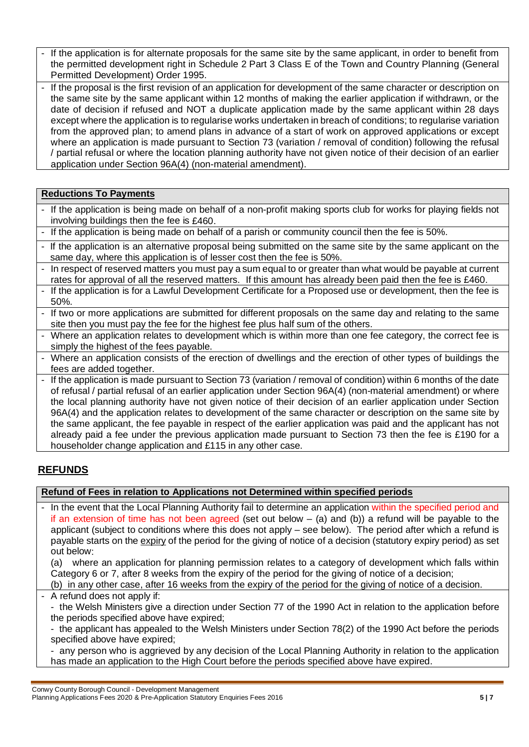If the application is for alternate proposals for the same site by the same applicant, in order to benefit from the permitted development right in Schedule 2 Part 3 Class E of the Town and Country Planning (General Permitted Development) Order 1995.

- If the proposal is the first revision of an application for development of the same character or description on the same site by the same applicant within 12 months of making the earlier application if withdrawn, or the date of decision if refused and NOT a duplicate application made by the same applicant within 28 days except where the application is to regularise works undertaken in breach of conditions; to regularise variation from the approved plan; to amend plans in advance of a start of work on approved applications or except where an application is made pursuant to Section 73 (variation / removal of condition) following the refusal / partial refusal or where the location planning authority have not given notice of their decision of an earlier application under Section 96A(4) (non-material amendment).

#### **Reductions To Payments**

- If the application is being made on behalf of a non-profit making sports club for works for playing fields not involving buildings then the fee is £460.
- If the application is being made on behalf of a parish or community council then the fee is 50%.
- If the application is an alternative proposal being submitted on the same site by the same applicant on the same day, where this application is of lesser cost then the fee is 50%.
- In respect of reserved matters you must pay a sum equal to or greater than what would be payable at current rates for approval of all the reserved matters. If this amount has already been paid then the fee is £460.
- If the application is for a Lawful Development Certificate for a Proposed use or development, then the fee is 50%.
- If two or more applications are submitted for different proposals on the same day and relating to the same site then you must pay the fee for the highest fee plus half sum of the others.
- Where an application relates to development which is within more than one fee category, the correct fee is simply the highest of the fees payable.
- Where an application consists of the erection of dwellings and the erection of other types of buildings the fees are added together.

- If the application is made pursuant to Section 73 (variation / removal of condition) within 6 months of the date of refusal / partial refusal of an earlier application under Section 96A(4) (non-material amendment) or where the local planning authority have not given notice of their decision of an earlier application under Section 96A(4) and the application relates to development of the same character or description on the same site by the same applicant, the fee payable in respect of the earlier application was paid and the applicant has not already paid a fee under the previous application made pursuant to Section 73 then the fee is £190 for a householder change application and £115 in any other case.

### **REFUNDS**

#### **Refund of Fees in relation to Applications not Determined within specified periods**

In the event that the Local Planning Authority fail to determine an application within the specified period and if an extension of time has not been agreed (set out below  $-$  (a) and (b)) a refund will be payable to the applicant (subject to conditions where this does not apply – see below). The period after which a refund is payable starts on the expiry of the period for the giving of notice of a decision (statutory expiry period) as set out below:

 (a) where an application for planning permission relates to a category of development which falls within Category 6 or 7, after 8 weeks from the expiry of the period for the giving of notice of a decision;

- (b) in any other case, after 16 weeks from the expiry of the period for the giving of notice of a decision.
- A refund does not apply if:

 - the Welsh Ministers give a direction under Section 77 of the 1990 Act in relation to the application before the periods specified above have expired;

 - the applicant has appealed to the Welsh Ministers under Section 78(2) of the 1990 Act before the periods specified above have expired;

 - any person who is aggrieved by any decision of the Local Planning Authority in relation to the application has made an application to the High Court before the periods specified above have expired.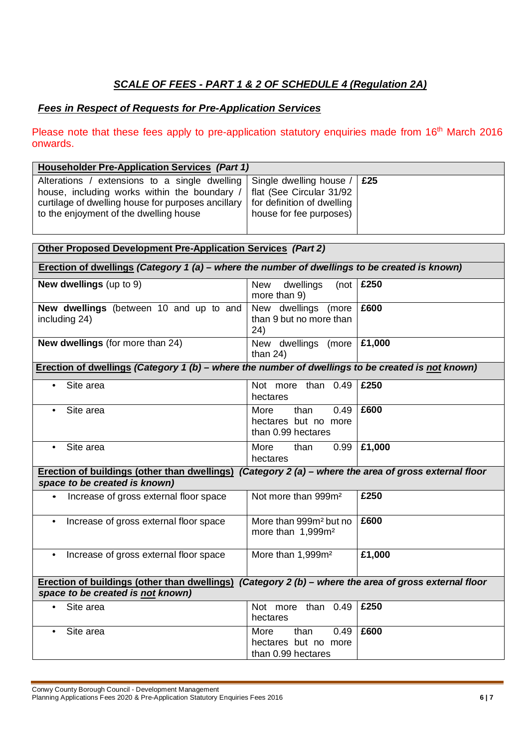# *SCALE OF FEES - PART 1 & 2 OF SCHEDULE 4 (Regulation 2A)*

### *Fees in Respect of Requests for Pre-Application Services*

Please note that these fees apply to pre-application statutory enquiries made from 16<sup>th</sup> March 2016 onwards.

| <b>Householder Pre-Application Services (Part 1)</b>                                                                                                                                          |                                                                                                              |        |  |
|-----------------------------------------------------------------------------------------------------------------------------------------------------------------------------------------------|--------------------------------------------------------------------------------------------------------------|--------|--|
| Alterations / extensions to a single dwelling<br>house, including works within the boundary /<br>curtilage of dwelling house for purposes ancillary<br>to the enjoyment of the dwelling house | Single dwelling house /<br>flat (See Circular 31/92<br>for definition of dwelling<br>house for fee purposes) | £25    |  |
| <b>Other Proposed Development Pre-Application Services (Part 2)</b>                                                                                                                           |                                                                                                              |        |  |
| Erection of dwellings (Category 1 (a) - where the number of dwellings to be created is known)                                                                                                 |                                                                                                              |        |  |
| New dwellings (up to 9)                                                                                                                                                                       | <b>New</b><br>dwellings<br>(not<br>more than 9)                                                              | £250   |  |
| New dwellings (between 10 and up to and<br>including 24)                                                                                                                                      | New dwellings (more<br>than 9 but no more than<br>24)                                                        | £600   |  |
| New dwellings (for more than 24)                                                                                                                                                              | New dwellings (more<br>than $24$ )                                                                           | £1,000 |  |
| Erection of dwellings (Category 1 (b) – where the number of dwellings to be created is not known)                                                                                             |                                                                                                              |        |  |
| Site area<br>$\bullet$                                                                                                                                                                        | Not more than 0.49<br>hectares                                                                               | £250   |  |
| Site area<br>$\bullet$                                                                                                                                                                        | 0.49<br>More<br>than<br>hectares but no more<br>than 0.99 hectares                                           | £600   |  |
| Site area<br>$\bullet$                                                                                                                                                                        | More<br>0.99<br>than<br>hectares                                                                             | £1,000 |  |
| Erection of buildings (other than dwellings) (Category 2 (a) - where the area of gross external floor                                                                                         |                                                                                                              |        |  |
| space to be created is known)                                                                                                                                                                 |                                                                                                              |        |  |
| Increase of gross external floor space<br>$\bullet$                                                                                                                                           | Not more than 999m <sup>2</sup>                                                                              | £250   |  |
| Increase of gross external floor space<br>$\bullet$                                                                                                                                           | More than 999m <sup>2</sup> but no<br>more than 1,999m <sup>2</sup>                                          | £600   |  |
| Increase of gross external floor space<br>$\bullet$                                                                                                                                           | More than 1,999m <sup>2</sup>                                                                                | £1,000 |  |
| Erection of buildings (other than dwellings) (Category $2(b)$ – where the area of gross external floor                                                                                        |                                                                                                              |        |  |
| space to be created is not known)                                                                                                                                                             |                                                                                                              |        |  |
| Site area<br>$\bullet$                                                                                                                                                                        | Not more than 0.49<br>hectares                                                                               | £250   |  |
| Site area<br>$\bullet$                                                                                                                                                                        | More<br>than<br>0.49<br>hectares but no more<br>than 0.99 hectares                                           | £600   |  |